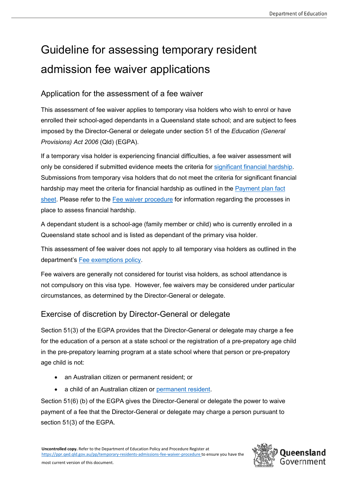# Guideline for assessing temporary resident admission fee waiver applications

## Application for the assessment of a fee waiver

This assessment of fee waiver applies to temporary visa holders who wish to enrol or have enrolled their school-aged dependants in a Queensland state school; and are subject to fees imposed by the Director-General or delegate under section 51 of the *Education (General Provisions) Act 2006* (Qld) (EGPA).

If a temporary visa holder is experiencing financial difficulties, a fee waiver assessment will only be considered if submitted evidence meets the criteria for [significant financial hardship.](#page-1-0) Submissions from temporary visa holders that do not meet the criteria for significant financial hardship may meet the criteria for financial hardship as outlined in the Payment plan fact [sheet.](https://eqi.com.au/tracpdf/payment-plan-fact-sheet.pdf) Please refer to the [Fee waiver procedure](https://ppr.qed.qld.gov.au/pp/temporary-residents-admissions-fee-waiver-procedure) for information regarding the processes in place to assess financial hardship.

A dependant student is a school-age (family member or child) who is currently enrolled in a Queensland state school and is listed as dependant of the primary visa holder.

This assessment of fee waiver does not apply to all temporary visa holders as outlined in the department's [Fee exemptions policy.](https://ppr.qed.qld.gov.au/pp/fee-exemptions-policy)

Fee waivers are generally not considered for tourist visa holders, as school attendance is not compulsory on this visa type. However, fee waivers may be considered under particular circumstances, as determined by the Director-General or delegate.

## Exercise of discretion by Director-General or delegate

Section 51(3) of the EGPA provides that the Director-General or delegate may charge a fee for the education of a person at a state school or the registration of a pre-prepatory age child in the pre-prepatory learning program at a state school where that person or pre-prepatory age child is not:

- an Australian citizen or permanent resident; or
- a child of an Australian citizen or [permanent](https://eqi.com.au/tracpdf/guidelines-parental-linkage.pdf) resident.

Section 51(6) (b) of the EGPA gives the Director-General or delegate the power to waive payment of a fee that the Director-General or delegate may charge a person pursuant to section 51(3) of the EGPA.

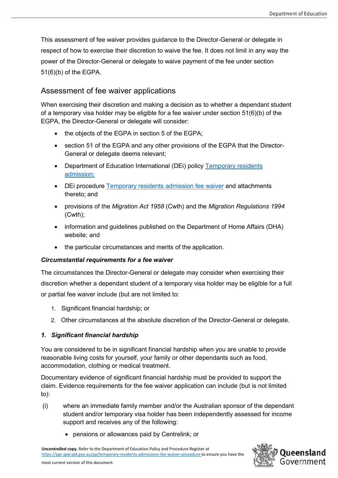This assessment of fee waiver provides guidance to the Director-General or delegate in respect of how to exercise their discretion to waive the fee. It does not limit in any way the power of the Director-General or delegate to waive payment of the fee under section 51(6)(b) of the EGPA.

## Assessment of fee waiver applications

When exercising their discretion and making a decision as to whether a dependant student of a temporary visa holder may be eligible for a fee waiver under section 51(6)(b) of the EGPA, the Director-General or delegate will consider:

- the objects of the EGPA in section 5 of the EGPA;
- section 51 of the EGPA and any other provisions of the EGPA that the Director-General or delegate deems relevant;
- Department of Education International (DEi) policy Temporary residents [admission;](https://eqi.com.au/study-options/temporary-residents)
- DEi procedure [Temporary residents admission fee waiver](https://ppr.qed.qld.gov.au/pp/temporary-residents-admissions-fee-waiver-procedure) and attachments thereto; and
- provisions of the *Migration Act 1958* (Cwth) and the *Migration Regulations 1994* (Cwth);
- information and guidelines published on the Department of Home Affairs (DHA) website; and
- the particular circumstances and merits of the application.

#### *Circumstantial requirements for a fee waiver*

The circumstances the Director-General or delegate may consider when exercising their discretion whether a dependant student of a temporary visa holder may be eligible for a full or partial fee waiver include (but are not limited to:

- 1. Significant financial hardship; or
- 2. Other circumstances at the absolute discretion of the Director-General or delegate.

#### <span id="page-1-0"></span>*1. Significant financial hardship*

You are considered to be in significant financial hardship when you are unable to provide reasonable living costs for yourself, your family or other dependants such as food, accommodation, clothing or medical treatment.

Documentary evidence of significant financial hardship must be provided to support the claim. Evidence requirements for the fee waiver application can include (but is not limited to):

- (i) where an immediate family member and/or the Australian sponsor of the dependant student and/or temporary visa holder has been independently assessed for income support and receives any of the following:
	- pensions or allowances paid by Centrelink; or

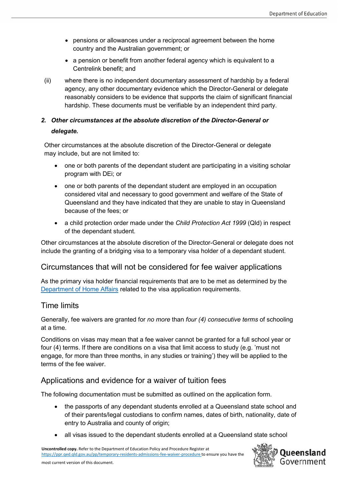- pensions or allowances under a reciprocal agreement between the home country and the Australian government; or
- a pension or benefit from another federal agency which is equivalent to a Centrelink benefit; and
- (ii) where there is no independent documentary assessment of hardship by a federal agency, any other documentary evidence which the Director-General or delegate reasonably considers to be evidence that supports the claim of significant financial hardship. These documents must be verifiable by an independent third party.

## *2. Other circumstances at the absolute discretion of the Director-General or delegate.*

Other circumstances at the absolute discretion of the Director-General or delegate may include, but are not limited to:

- one or both parents of the dependant student are participating in a visiting scholar program with DEi; or
- one or both parents of the dependant student are employed in an occupation considered vital and necessary to good government and welfare of the State of Queensland and they have indicated that they are unable to stay in Queensland because of the fees; or
- a child protection order made under the *Child Protection Act 1999* (Qld) in respect of the dependant student.

Other circumstances at the absolute discretion of the Director-General or delegate does not include the granting of a bridging visa to a temporary visa holder of a dependant student.

## Circumstances that will not be considered for fee waiver applications

As the primary visa holder financial requirements that are to be met as determined by the [Department of Home Affairs](https://immi.homeaffairs.gov.au/) related to the visa application requirements.

## Time limits

Generally, fee waivers are granted for *no more* than *four (4) consecutive terms* of schooling at a time.

Conditions on visas may mean that a fee waiver cannot be granted for a full school year or four (4) terms. If there are conditions on a visa that limit access to study (e.g. 'must not engage, for more than three months, in any studies or training') they will be applied to the terms of the fee waiver.

## Applications and evidence for a waiver of tuition fees

The following documentation must be submitted as outlined on the application form.

- the passports of any dependant students enrolled at a Queensland state school and of their parents/legal custodians to confirm names, dates of birth, nationality, date of entry to Australia and county of origin;
- all visas issued to the dependant students enrolled at a Queensland state school